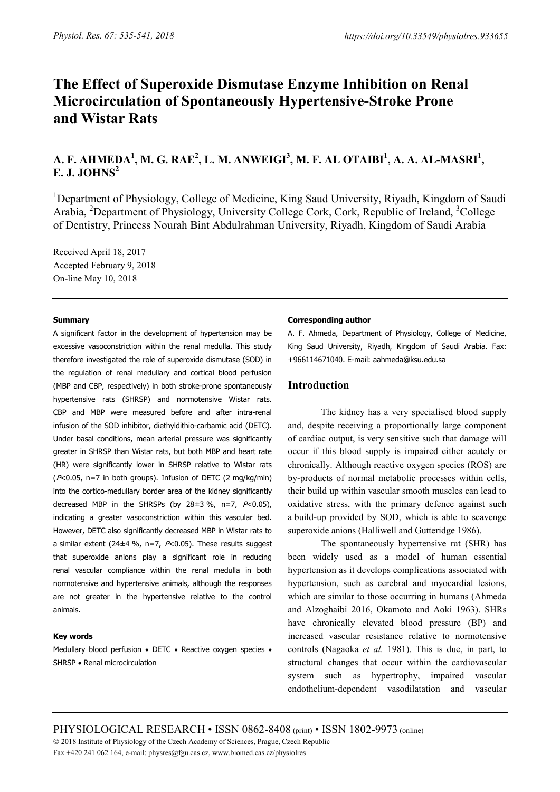# **The Effect of Superoxide Dismutase Enzyme Inhibition on Renal Microcirculation of Spontaneously Hypertensive-Stroke Prone and Wistar Rats**

## **A. F. AHMEDA<sup>1</sup> , M. G. RAE<sup>2</sup> , L. M. ANWEIGI<sup>3</sup> , M. F. AL OTAIBI<sup>1</sup> , A. A. AL-MASRI<sup>1</sup> , E. J. JOHNS<sup>2</sup>**

<sup>1</sup>Department of Physiology, College of Medicine, King Saud University, Riyadh, Kingdom of Saudi Arabia, <sup>2</sup>Department of Physiology, University College Cork, Cork, Republic of Ireland, <sup>3</sup>College of Dentistry, Princess Nourah Bint Abdulrahman University, Riyadh, Kingdom of Saudi Arabia

Received April 18, 2017 Accepted February 9, 2018 On-line May 10, 2018

#### **Summary**

A significant factor in the development of hypertension may be excessive vasoconstriction within the renal medulla. This study therefore investigated the role of superoxide dismutase (SOD) in the regulation of renal medullary and cortical blood perfusion (MBP and CBP, respectively) in both stroke-prone spontaneously hypertensive rats (SHRSP) and normotensive Wistar rats. CBP and MBP were measured before and after intra-renal infusion of the SOD inhibitor, diethyldithio-carbamic acid (DETC). Under basal conditions, mean arterial pressure was significantly greater in SHRSP than Wistar rats, but both MBP and heart rate (HR) were significantly lower in SHRSP relative to Wistar rats (P<0.05, n=7 in both groups). Infusion of DETC (2 mg/kg/min) into the cortico-medullary border area of the kidney significantly decreased MBP in the SHRSPs (by  $28\pm3\%$ , n=7,  $P<0.05$ ), indicating a greater vasoconstriction within this vascular bed. However, DETC also significantly decreased MBP in Wistar rats to a similar extent (24 $\pm$ 4 %, n=7,  $P$ <0.05). These results suggest that superoxide anions play a significant role in reducing renal vascular compliance within the renal medulla in both normotensive and hypertensive animals, although the responses are not greater in the hypertensive relative to the control animals.

## **Key words**

Medullary blood perfusion • DETC • Reactive oxygen species • SHRSP • Renal microcirculation

#### **Corresponding author**

A. F. Ahmeda, Department of Physiology, College of Medicine, King Saud University, Riyadh, Kingdom of Saudi Arabia. Fax: +966114671040. E-mail: aahmeda@ksu.edu.sa

## **Introduction**

The kidney has a very specialised blood supply and, despite receiving a proportionally large component of cardiac output, is very sensitive such that damage will occur if this blood supply is impaired either acutely or chronically. Although reactive oxygen species (ROS) are by-products of normal metabolic processes within cells, their build up within vascular smooth muscles can lead to oxidative stress, with the primary defence against such a build-up provided by SOD, which is able to scavenge superoxide anions (Halliwell and Gutteridge 1986).

The spontaneously hypertensive rat (SHR) has been widely used as a model of human essential hypertension as it develops complications associated with hypertension, such as cerebral and myocardial lesions, which are similar to those occurring in humans (Ahmeda and Alzoghaibi 2016, Okamoto and Aoki 1963). SHRs have chronically elevated blood pressure (BP) and increased vascular resistance relative to normotensive controls (Nagaoka *et al.* 1981). This is due, in part, to structural changes that occur within the cardiovascular system such as hypertrophy, impaired vascular endothelium-dependent vasodilatation and vascular

PHYSIOLOGICAL RESEARCH • ISSN 0862-8408 (print) • ISSN 1802-9973 (online) 2018 Institute of Physiology of the Czech Academy of Sciences, Prague, Czech Republic Fax +420 241 062 164, e-mail: physres@fgu.cas.cz, www.biomed.cas.cz/physiolres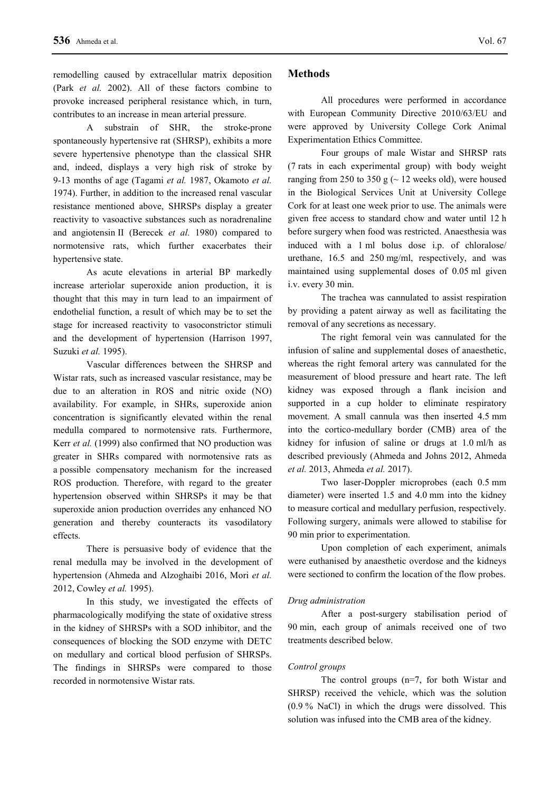remodelling caused by extracellular matrix deposition (Park *et al.* 2002). All of these factors combine to provoke increased peripheral resistance which, in turn, contributes to an increase in mean arterial pressure.

A substrain of SHR, the stroke-prone spontaneously hypertensive rat (SHRSP), exhibits a more severe hypertensive phenotype than the classical SHR and, indeed, displays a very high risk of stroke by 9-13 months of age (Tagami *et al.* 1987, Okamoto *et al.* 1974). Further, in addition to the increased renal vascular resistance mentioned above, SHRSPs display a greater reactivity to vasoactive substances such as noradrenaline and angiotensin II (Berecek *et al.* 1980) compared to normotensive rats, which further exacerbates their hypertensive state.

As acute elevations in arterial BP markedly increase arteriolar superoxide anion production, it is thought that this may in turn lead to an impairment of endothelial function, a result of which may be to set the stage for increased reactivity to vasoconstrictor stimuli and the development of hypertension (Harrison 1997, Suzuki *et al.* 1995).

Vascular differences between the SHRSP and Wistar rats, such as increased vascular resistance, may be due to an alteration in ROS and nitric oxide (NO) availability. For example, in SHRs, superoxide anion concentration is significantly elevated within the renal medulla compared to normotensive rats. Furthermore, Kerr *et al.* (1999) also confirmed that NO production was greater in SHRs compared with normotensive rats as a possible compensatory mechanism for the increased ROS production. Therefore, with regard to the greater hypertension observed within SHRSPs it may be that superoxide anion production overrides any enhanced NO generation and thereby counteracts its vasodilatory effects.

There is persuasive body of evidence that the renal medulla may be involved in the development of hypertension (Ahmeda and Alzoghaibi 2016, Mori *et al.* 2012, Cowley *et al.* 1995).

In this study, we investigated the effects of pharmacologically modifying the state of oxidative stress in the kidney of SHRSPs with a SOD inhibitor, and the consequences of blocking the SOD enzyme with DETC on medullary and cortical blood perfusion of SHRSPs. The findings in SHRSPs were compared to those recorded in normotensive Wistar rats.

## **Methods**

All procedures were performed in accordance with European Community Directive 2010/63/EU and were approved by University College Cork Animal Experimentation Ethics Committee.

Four groups of male Wistar and SHRSP rats (7 rats in each experimental group) with body weight ranging from 250 to 350 g ( $\sim$  12 weeks old), were housed in the Biological Services Unit at University College Cork for at least one week prior to use. The animals were given free access to standard chow and water until 12 h before surgery when food was restricted. Anaesthesia was induced with a 1 ml bolus dose i.p. of chloralose/ urethane, 16.5 and 250 mg/ml, respectively, and was maintained using supplemental doses of 0.05 ml given i.v. every 30 min.

The trachea was cannulated to assist respiration by providing a patent airway as well as facilitating the removal of any secretions as necessary.

The right femoral vein was cannulated for the infusion of saline and supplemental doses of anaesthetic, whereas the right femoral artery was cannulated for the measurement of blood pressure and heart rate. The left kidney was exposed through a flank incision and supported in a cup holder to eliminate respiratory movement. A small cannula was then inserted 4.5 mm into the cortico-medullary border (CMB) area of the kidney for infusion of saline or drugs at 1.0 ml/h as described previously (Ahmeda and Johns 2012, Ahmeda *et al.* 2013, Ahmeda *et al.* 2017).

Two laser-Doppler microprobes (each 0.5 mm diameter) were inserted 1.5 and 4.0 mm into the kidney to measure cortical and medullary perfusion, respectively. Following surgery, animals were allowed to stabilise for 90 min prior to experimentation.

Upon completion of each experiment, animals were euthanised by anaesthetic overdose and the kidneys were sectioned to confirm the location of the flow probes.

## *Drug administration*

After a post-surgery stabilisation period of 90 min, each group of animals received one of two treatments described below.

## *Control groups*

The control groups (n=7, for both Wistar and SHRSP) received the vehicle, which was the solution (0.9 % NaCl) in which the drugs were dissolved. This solution was infused into the CMB area of the kidney.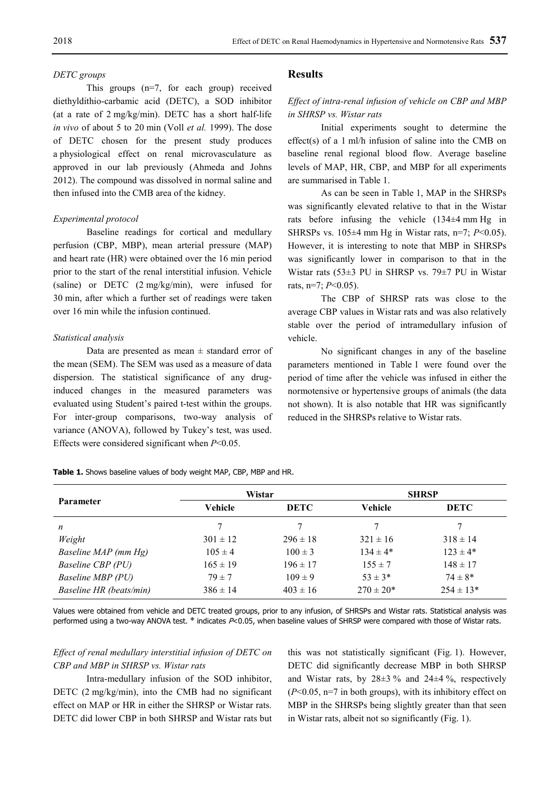#### *DETC groups*

This groups (n=7, for each group) received diethyldithio-carbamic acid (DETC), a SOD inhibitor (at a rate of 2 mg/kg/min). DETC has a short half-life *in vivo* of about 5 to 20 min (Voll *et al.* 1999). The dose of DETC chosen for the present study produces a physiological effect on renal microvasculature as approved in our lab previously (Ahmeda and Johns 2012). The compound was dissolved in normal saline and then infused into the CMB area of the kidney.

#### *Experimental protocol*

Baseline readings for cortical and medullary perfusion (CBP, MBP), mean arterial pressure (MAP) and heart rate (HR) were obtained over the 16 min period prior to the start of the renal interstitial infusion. Vehicle (saline) or DETC (2 mg/kg/min), were infused for 30 min, after which a further set of readings were taken over 16 min while the infusion continued.

#### *Statistical analysis*

Data are presented as mean  $\pm$  standard error of the mean (SEM). The SEM was used as a measure of data dispersion. The statistical significance of any druginduced changes in the measured parameters was evaluated using Student's paired t-test within the groups. For inter-group comparisons, two-way analysis of variance (ANOVA), followed by Tukey's test, was used. Effects were considered significant when *P*<0.05.

## **Results**

## *Effect of intra-renal infusion of vehicle on CBP and MBP in SHRSP vs. Wistar rats*

Initial experiments sought to determine the effect(s) of a 1 ml/h infusion of saline into the CMB on baseline renal regional blood flow. Average baseline levels of MAP, HR, CBP, and MBP for all experiments are summarised in Table 1.

As can be seen in Table 1, MAP in the SHRSPs was significantly elevated relative to that in the Wistar rats before infusing the vehicle (134±4 mm Hg in SHRSPs vs. 105±4 mm Hg in Wistar rats, n=7; *P*<0.05). However, it is interesting to note that MBP in SHRSPs was significantly lower in comparison to that in the Wistar rats (53±3 PU in SHRSP vs. 79±7 PU in Wistar rats, n=7; *P*<0.05).

The CBP of SHRSP rats was close to the average CBP values in Wistar rats and was also relatively stable over the period of intramedullary infusion of vehicle.

No significant changes in any of the baseline parameters mentioned in Table 1 were found over the period of time after the vehicle was infused in either the normotensive or hypertensive groups of animals (the data not shown). It is also notable that HR was significantly reduced in the SHRSPs relative to Wistar rats.

**Table 1.** Shows baseline values of body weight MAP, CBP, MBP and HR.

| <b>Parameter</b>         | Wistar       |              | <b>SHRSP</b>  |               |
|--------------------------|--------------|--------------|---------------|---------------|
|                          | Vehicle      | <b>DETC</b>  | Vehicle       | <b>DETC</b>   |
| n                        |              | 7            |               |               |
| Weight                   | $301 \pm 12$ | $296 \pm 18$ | $321 \pm 16$  | $318 \pm 14$  |
| Baseline MAP (mm Hg)     | $105 \pm 4$  | $100 \pm 3$  | $134 \pm 4*$  | $123 \pm 4*$  |
| <b>Baseline CBP</b> (PU) | $165 \pm 19$ | $196 \pm 17$ | $155 \pm 7$   | $148 \pm 17$  |
| Baseline MBP (PU)        | $79 \pm 7$   | $109 \pm 9$  | $53 \pm 3^*$  | $74 \pm 8*$   |
| Baseline HR (beats/min)  | $386 \pm 14$ | $403 \pm 16$ | $270 \pm 20*$ | $254 \pm 13*$ |

Values were obtained from vehicle and DETC treated groups, prior to any infusion, of SHRSPs and Wistar rats. Statistical analysis was performed using a two-way ANOVA test. \* indicates P<0.05, when baseline values of SHRSP were compared with those of Wistar rats.

## *Effect of renal medullary interstitial infusion of DETC on CBP and MBP in SHRSP vs. Wistar rats*

Intra-medullary infusion of the SOD inhibitor, DETC (2 mg/kg/min), into the CMB had no significant effect on MAP or HR in either the SHRSP or Wistar rats. DETC did lower CBP in both SHRSP and Wistar rats but this was not statistically significant (Fig. 1). However, DETC did significantly decrease MBP in both SHRSP and Wistar rats, by  $28\pm3\%$  and  $24\pm4\%$ , respectively (*P*<0.05, n=7 in both groups), with its inhibitory effect on MBP in the SHRSPs being slightly greater than that seen in Wistar rats, albeit not so significantly (Fig. 1).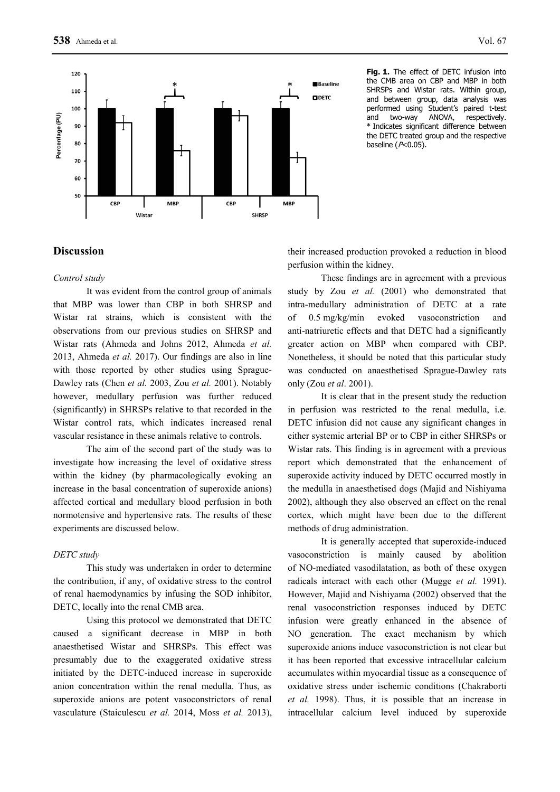

**Fig. 1.** The effect of DETC infusion into the CMB area on CBP and MBP in both SHRSPs and Wistar rats. Within group, and between group, data analysis was performed using Student's paired t-test<br>and two-wav ANOVA. respectively two-way ANOVA, respectively. \* Indicates significant difference between the DETC treated group and the respective baseline  $(P<0.05)$ .

## **Discussion**

## *Control study*

It was evident from the control group of animals that MBP was lower than CBP in both SHRSP and Wistar rat strains, which is consistent with the observations from our previous studies on SHRSP and Wistar rats (Ahmeda and Johns 2012, Ahmeda *et al.* 2013, Ahmeda *et al.* 2017). Our findings are also in line with those reported by other studies using Sprague-Dawley rats (Chen *et al.* 2003, Zou *et al.* 2001). Notably however, medullary perfusion was further reduced (significantly) in SHRSPs relative to that recorded in the Wistar control rats, which indicates increased renal vascular resistance in these animals relative to controls.

The aim of the second part of the study was to investigate how increasing the level of oxidative stress within the kidney (by pharmacologically evoking an increase in the basal concentration of superoxide anions) affected cortical and medullary blood perfusion in both normotensive and hypertensive rats. The results of these experiments are discussed below.

## *DETC study*

This study was undertaken in order to determine the contribution, if any, of oxidative stress to the control of renal haemodynamics by infusing the SOD inhibitor, DETC, locally into the renal CMB area.

Using this protocol we demonstrated that DETC caused a significant decrease in MBP in both anaesthetised Wistar and SHRSPs. This effect was presumably due to the exaggerated oxidative stress initiated by the DETC-induced increase in superoxide anion concentration within the renal medulla. Thus, as superoxide anions are potent vasoconstrictors of renal vasculature (Staiculescu *et al.* 2014, Moss *et al.* 2013),

their increased production provoked a reduction in blood perfusion within the kidney.

These findings are in agreement with a previous study by Zou *et al.* (2001) who demonstrated that intra-medullary administration of DETC at a rate of 0.5 mg/kg/min evoked vasoconstriction and anti-natriuretic effects and that DETC had a significantly greater action on MBP when compared with CBP. Nonetheless, it should be noted that this particular study was conducted on anaesthetised Sprague-Dawley rats only (Zou *et al*. 2001).

It is clear that in the present study the reduction in perfusion was restricted to the renal medulla, i.e. DETC infusion did not cause any significant changes in either systemic arterial BP or to CBP in either SHRSPs or Wistar rats. This finding is in agreement with a previous report which demonstrated that the enhancement of superoxide activity induced by DETC occurred mostly in the medulla in anaesthetised dogs (Majid and Nishiyama 2002), although they also observed an effect on the renal cortex, which might have been due to the different methods of drug administration.

It is generally accepted that superoxide-induced vasoconstriction is mainly caused by abolition of NO-mediated vasodilatation, as both of these oxygen radicals interact with each other (Mugge *et al.* 1991). However, Majid and Nishiyama (2002) observed that the renal vasoconstriction responses induced by DETC infusion were greatly enhanced in the absence of NO generation. The exact mechanism by which superoxide anions induce vasoconstriction is not clear but it has been reported that excessive intracellular calcium accumulates within myocardial tissue as a consequence of oxidative stress under ischemic conditions (Chakraborti *et al.* 1998). Thus, it is possible that an increase in intracellular calcium level induced by superoxide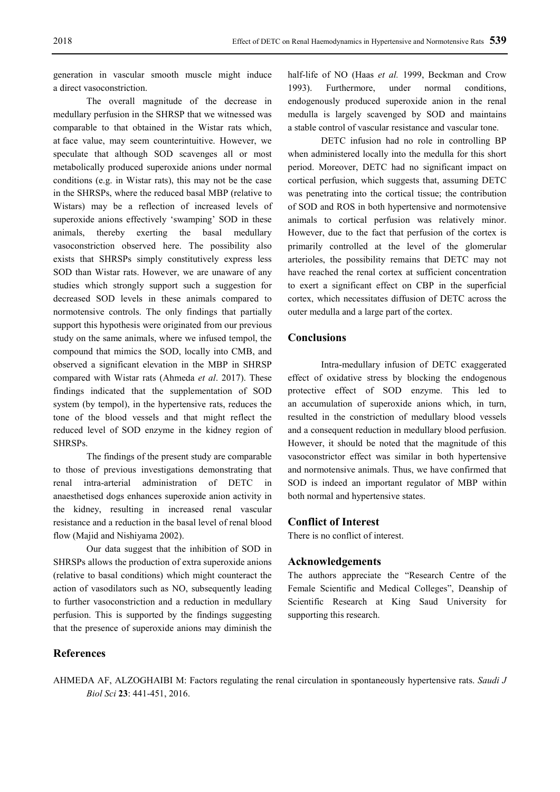generation in vascular smooth muscle might induce a direct vasoconstriction.

The overall magnitude of the decrease in medullary perfusion in the SHRSP that we witnessed was comparable to that obtained in the Wistar rats which, at face value, may seem counterintuitive. However, we speculate that although SOD scavenges all or most metabolically produced superoxide anions under normal conditions (e.g. in Wistar rats), this may not be the case in the SHRSPs, where the reduced basal MBP (relative to Wistars) may be a reflection of increased levels of superoxide anions effectively 'swamping' SOD in these animals, thereby exerting the basal medullary vasoconstriction observed here. The possibility also exists that SHRSPs simply constitutively express less SOD than Wistar rats. However, we are unaware of any studies which strongly support such a suggestion for decreased SOD levels in these animals compared to normotensive controls. The only findings that partially support this hypothesis were originated from our previous study on the same animals, where we infused tempol, the compound that mimics the SOD, locally into CMB, and observed a significant elevation in the MBP in SHRSP compared with Wistar rats (Ahmeda *et al*. 2017). These findings indicated that the supplementation of SOD system (by tempol), in the hypertensive rats, reduces the tone of the blood vessels and that might reflect the reduced level of SOD enzyme in the kidney region of SHRSPs.

The findings of the present study are comparable to those of previous investigations demonstrating that renal intra-arterial administration of DETC in anaesthetised dogs enhances superoxide anion activity in the kidney, resulting in increased renal vascular resistance and a reduction in the basal level of renal blood flow (Majid and Nishiyama 2002).

Our data suggest that the inhibition of SOD in SHRSPs allows the production of extra superoxide anions (relative to basal conditions) which might counteract the action of vasodilators such as NO, subsequently leading to further vasoconstriction and a reduction in medullary perfusion. This is supported by the findings suggesting that the presence of superoxide anions may diminish the

half-life of NO (Haas *et al.* 1999, Beckman and Crow 1993). Furthermore, under normal conditions, endogenously produced superoxide anion in the renal medulla is largely scavenged by SOD and maintains a stable control of vascular resistance and vascular tone.

DETC infusion had no role in controlling BP when administered locally into the medulla for this short period. Moreover, DETC had no significant impact on cortical perfusion, which suggests that, assuming DETC was penetrating into the cortical tissue; the contribution of SOD and ROS in both hypertensive and normotensive animals to cortical perfusion was relatively minor. However, due to the fact that perfusion of the cortex is primarily controlled at the level of the glomerular arterioles, the possibility remains that DETC may not have reached the renal cortex at sufficient concentration to exert a significant effect on CBP in the superficial cortex, which necessitates diffusion of DETC across the outer medulla and a large part of the cortex.

## **Conclusions**

Intra-medullary infusion of DETC exaggerated effect of oxidative stress by blocking the endogenous protective effect of SOD enzyme. This led to an accumulation of superoxide anions which, in turn, resulted in the constriction of medullary blood vessels and a consequent reduction in medullary blood perfusion. However, it should be noted that the magnitude of this vasoconstrictor effect was similar in both hypertensive and normotensive animals. Thus, we have confirmed that SOD is indeed an important regulator of MBP within both normal and hypertensive states.

## **Conflict of Interest**

There is no conflict of interest.

## **Acknowledgements**

The authors appreciate the "Research Centre of the Female Scientific and Medical Colleges", Deanship of Scientific Research at King Saud University for supporting this research.

## **References**

AHMEDA AF, ALZOGHAIBI M: Factors regulating the renal circulation in spontaneously hypertensive rats. *Saudi J Biol Sci* **23**: 441-451, 2016.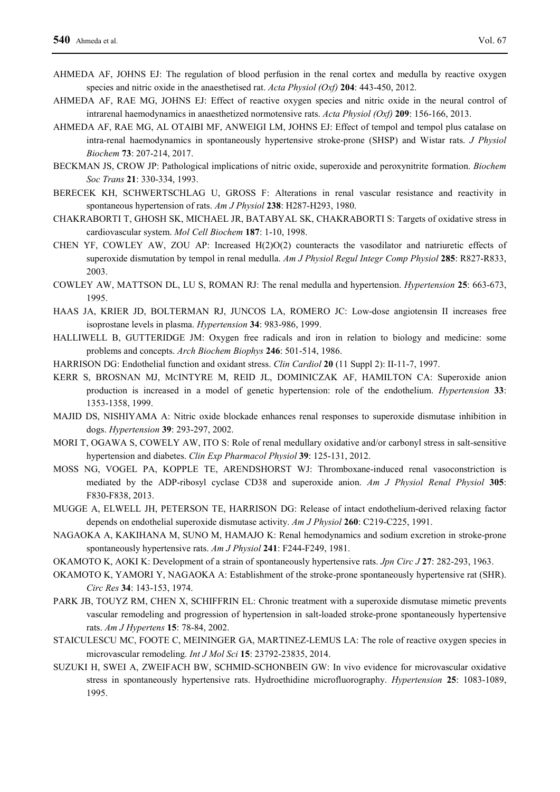- AHMEDA AF, JOHNS EJ: The regulation of blood perfusion in the renal cortex and medulla by reactive oxygen species and nitric oxide in the anaesthetised rat. *Acta Physiol (Oxf)* **204**: 443-450, 2012.
- AHMEDA AF, RAE MG, JOHNS EJ: Effect of reactive oxygen species and nitric oxide in the neural control of intrarenal haemodynamics in anaesthetized normotensive rats. *Acta Physiol (Oxf)* **209**: 156-166, 2013.
- AHMEDA AF, RAE MG, AL OTAIBI MF, ANWEIGI LM, JOHNS EJ: Effect of tempol and tempol plus catalase on intra-renal haemodynamics in spontaneously hypertensive stroke-prone (SHSP) and Wistar rats. *J Physiol Biochem* **73**: 207-214, 2017.
- BECKMAN JS, CROW JP: Pathological implications of nitric oxide, superoxide and peroxynitrite formation. *Biochem Soc Trans* **21**: 330-334, 1993.
- BERECEK KH, SCHWERTSCHLAG U, GROSS F: Alterations in renal vascular resistance and reactivity in spontaneous hypertension of rats. *Am J Physiol* **238**: H287-H293, 1980.
- CHAKRABORTI T, GHOSH SK, MICHAEL JR, BATABYAL SK, CHAKRABORTI S: Targets of oxidative stress in cardiovascular system. *Mol Cell Biochem* **187**: 1-10, 1998.
- CHEN YF, COWLEY AW, ZOU AP: Increased H(2)O(2) counteracts the vasodilator and natriuretic effects of superoxide dismutation by tempol in renal medulla. *Am J Physiol Regul Integr Comp Physiol* **285**: R827-R833, 2003.
- COWLEY AW, MATTSON DL, LU S, ROMAN RJ: The renal medulla and hypertension. *Hypertension* **25**: 663-673, 1995.
- HAAS JA, KRIER JD, BOLTERMAN RJ, JUNCOS LA, ROMERO JC: Low-dose angiotensin II increases free isoprostane levels in plasma. *Hypertension* **34**: 983-986, 1999.
- HALLIWELL B, GUTTERIDGE JM: Oxygen free radicals and iron in relation to biology and medicine: some problems and concepts. *Arch Biochem Biophys* **246**: 501-514, 1986.
- HARRISON DG: Endothelial function and oxidant stress. *Clin Cardiol* **20** (11 Suppl 2): II-11-7, 1997.
- KERR S, BROSNAN MJ, MCINTYRE M, REID JL, DOMINICZAK AF, HAMILTON CA: Superoxide anion production is increased in a model of genetic hypertension: role of the endothelium. *Hypertension* **33**: 1353-1358, 1999.
- MAJID DS, NISHIYAMA A: Nitric oxide blockade enhances renal responses to superoxide dismutase inhibition in dogs. *Hypertension* **39**: 293-297, 2002.
- MORI T, OGAWA S, COWELY AW, ITO S: Role of renal medullary oxidative and/or carbonyl stress in salt-sensitive hypertension and diabetes. *Clin Exp Pharmacol Physiol* **39**: 125-131, 2012.
- MOSS NG, VOGEL PA, KOPPLE TE, ARENDSHORST WJ: Thromboxane-induced renal vasoconstriction is mediated by the ADP-ribosyl cyclase CD38 and superoxide anion. *Am J Physiol Renal Physiol* **305**: F830-F838, 2013.
- MUGGE A, ELWELL JH, PETERSON TE, HARRISON DG: Release of intact endothelium-derived relaxing factor depends on endothelial superoxide dismutase activity. *Am J Physiol* **260**: C219-C225, 1991.
- NAGAOKA A, KAKIHANA M, SUNO M, HAMAJO K: Renal hemodynamics and sodium excretion in stroke-prone spontaneously hypertensive rats. *Am J Physiol* **241**: F244-F249, 1981.
- OKAMOTO K, AOKI K: Development of a strain of spontaneously hypertensive rats. *Jpn Circ J* **27**: 282-293, 1963.
- OKAMOTO K, YAMORI Y, NAGAOKA A: Establishment of the stroke-prone spontaneously hypertensive rat (SHR). *Circ Res* **34**: 143-153, 1974.
- PARK JB, TOUYZ RM, CHEN X, SCHIFFRIN EL: Chronic treatment with a superoxide dismutase mimetic prevents vascular remodeling and progression of hypertension in salt-loaded stroke-prone spontaneously hypertensive rats. *Am J Hypertens* **15**: 78-84, 2002.
- STAICULESCU MC, FOOTE C, MEININGER GA, MARTINEZ-LEMUS LA: The role of reactive oxygen species in microvascular remodeling. *Int J Mol Sci* **15**: 23792-23835, 2014.
- SUZUKI H, SWEI A, ZWEIFACH BW, SCHMID-SCHONBEIN GW: In vivo evidence for microvascular oxidative stress in spontaneously hypertensive rats. Hydroethidine microfluorography. *Hypertension* **25**: 1083-1089, 1995.